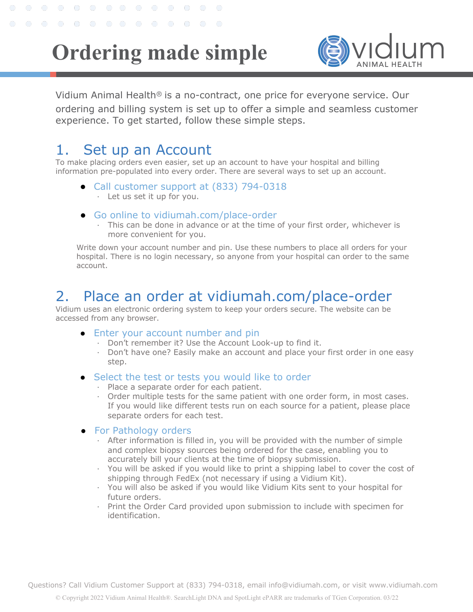# **Ordering made simple**



Vidium Animal Health<sup>®</sup> is a no-contract, one price for everyone service. Our ordering and billing system is set up to offer a simple and seamless customer experience. To get started, follow these simple steps.

### 1. Set up an Account

 $\bigcirc$ 

 $\bigcap$ 

 $\bigcirc$ 

 $\bigcirc$ 

 $O$   $O$ 

. . . . . . . . . . . . .

Ô

To make placing orders even easier, set up an account to have your hospital and billing information pre-populated into every order. There are several ways to set up an account.

- Call customer support at (833) 794-0318
	- ⋅ Let us set it up for you.
- Go online to vidiumah.com/place-order
	- ⋅ This can be done in advance or at the time of your first order, whichever is more convenient for you.

Write down your account number and pin. Use these numbers to place all orders for your hospital. There is no login necessary, so anyone from your hospital can order to the same account.

## 2. Place an order at vidiumah.com/place-order

Vidium uses an electronic ordering system to keep your orders secure. The website can be accessed from any browser.

- Enter your account number and pin
	- ⋅ Don't remember it? Use the Account Look-up to find it.
	- ⋅ Don't have one? Easily make an account and place your first order in one easy step.
- Select the test or tests you would like to order
	- ⋅ Place a separate order for each patient.
	- ⋅ Order multiple tests for the same patient with one order form, in most cases. If you would like different tests run on each source for a patient, please place separate orders for each test.
- For Pathology orders
	- ⋅ After information is filled in, you will be provided with the number of simple and complex biopsy sources being ordered for the case, enabling you to accurately bill your clients at the time of biopsy submission.
	- ⋅ You will be asked if you would like to print a shipping label to cover the cost of shipping through FedEx (not necessary if using a Vidium Kit).
	- ⋅ You will also be asked if you would like Vidium Kits sent to your hospital for future orders.
	- ⋅ Print the Order Card provided upon submission to include with specimen for identification.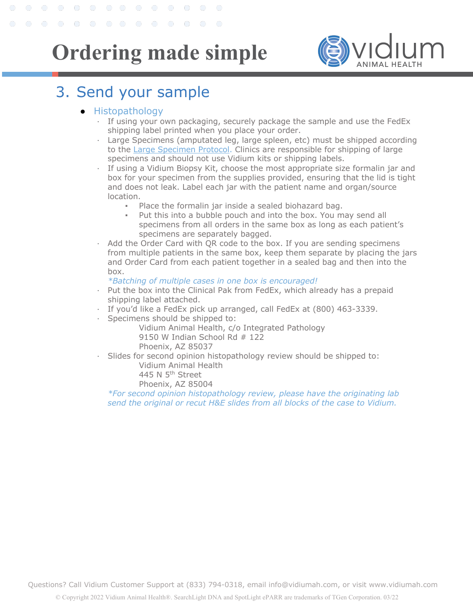**Ordering made simple**



## 3. Send your sample

#### ● Histopathology

. . . . . . . . . . . . .

- ⋅ If using your own packaging, securely package the sample and use the FedEx shipping label printed when you place your order.
- Large Specimens (amputated leg, large spleen, etc) must be shipped according to the Large Specimen Protocol. Clinics are responsible for shipping of large specimens and should not use Vidium kits or shipping labels.
- ⋅ If using a Vidium Biopsy Kit, choose the most appropriate size formalin jar and box for your specimen from the supplies provided, ensuring that the lid is tight and does not leak. Label each jar with the patient name and organ/source location.
	- Place the formalin jar inside a sealed biohazard bag.
	- Put this into a bubble pouch and into the box. You may send all specimens from all orders in the same box as long as each patient's specimens are separately bagged.
- Add the Order Card with QR code to the box. If you are sending specimens from multiple patients in the same box, keep them separate by placing the jars and Order Card from each patient together in a sealed bag and then into the box.

#### *\*Batching of multiple cases in one box is encouraged!*

- ⋅ Put the box into the Clinical Pak from FedEx, which already has a prepaid shipping label attached.
- If you'd like a FedEx pick up arranged, call FedEx at (800) 463-3339.
- Specimens should be shipped to:

Vidium Animal Health, c/o Integrated Pathology 9150 W Indian School Rd # 122 Phoenix, AZ 85037

Slides for second opinion histopathology review should be shipped to:

Vidium Animal Health

445 N 5<sup>th</sup> Street

Phoenix, AZ 85004

*\*For second opinion histopathology review, please have the originating lab send the original or recut H&E slides from all blocks of the case to Vidium.*